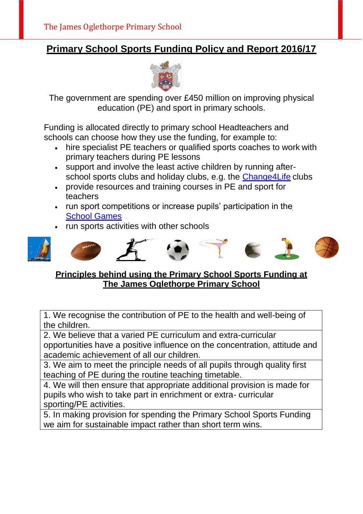## **Primary School Sports Funding Policy and Report 2016/17**



The government are spending over £450 million on improving physical education (PE) and sport in primary schools.

Funding is allocated directly to primary school Headteachers and schools can choose how they use the funding, for example to:

- hire specialist PE teachers or qualified sports coaches to work with primary teachers during PE lessons
- support and involve the least active children by running after-school sports clubs and holiday clubs, e.g. the [Change4Life](http://www.nhs.uk/change4life/pages/primary-schools-sports-clubs.aspx) clubs
- provide resources and training courses in PE and sport for teachers
- run sport competitions or increase pupils' participation in the **School [Games](https://www.gov.uk/government/policies/getting-more-people-playing-sport/supporting-pages/the-school-games)**
- run sports activities with other schools



#### **Principles behind using the Primary School Sports Funding at The James Oglethorpe Primary School**

1. We recognise the contribution of PE to the health and well-being of the children.

2. We believe that a varied PE curriculum and extra-curricular opportunities have a positive influence on the concentration, attitude and academic achievement of all our children.

3. We aim to meet the principle needs of all pupils through quality first teaching of PE during the routine teaching timetable.

4. We will then ensure that appropriate additional provision is made for pupils who wish to take part in enrichment or extra- curricular sporting/PE activities.

5. In making provision for spending the Primary School Sports Funding we aim for sustainable impact rather than short term wins.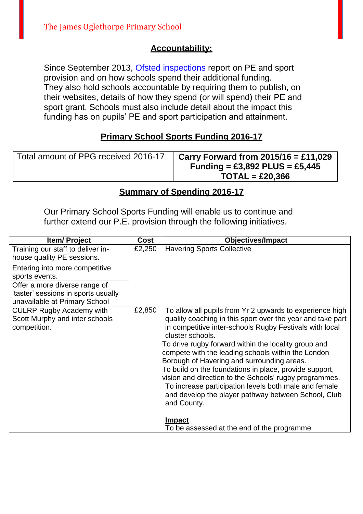#### **Accountability:**

Since September 2013, [Ofsted inspections r](http://www.ofsted.gov.uk/inspection-reports/find-inspection-report)eport on PE and sport provision and on how schools spend their additional funding. They also hold schools accountable by requiring them to publish, on their websites, details of how they spend (or will spend) their PE and sport grant. Schools must also include detail about the impact this funding has on pupils' PE and sport participation and attainment.

#### **Primary School Sports Funding 2016-17**

| Total amount of PPG received 2016-17 | Carry Forward from $2015/16 = £11,029$ |
|--------------------------------------|----------------------------------------|
|                                      | Funding = £3,892 PLUS = £5,445         |
|                                      | $TOTAL = £20,366$                      |

#### **Summary of Spending 2016-17**

Our Primary School Sports Funding will enable us to continue and further extend our P.E. provision through the following initiatives.

| <b>Item/Project</b>                                                                                   | Cost   | <b>Objectives/Impact</b>                                                                                                                                                                                                                                                                                                                                                                                                                                                                                                                                                                                                                                                            |
|-------------------------------------------------------------------------------------------------------|--------|-------------------------------------------------------------------------------------------------------------------------------------------------------------------------------------------------------------------------------------------------------------------------------------------------------------------------------------------------------------------------------------------------------------------------------------------------------------------------------------------------------------------------------------------------------------------------------------------------------------------------------------------------------------------------------------|
| Training our staff to deliver in-<br>house quality PE sessions.                                       | £2,250 | <b>Havering Sports Collective</b>                                                                                                                                                                                                                                                                                                                                                                                                                                                                                                                                                                                                                                                   |
| Entering into more competitive<br>sports events.                                                      |        |                                                                                                                                                                                                                                                                                                                                                                                                                                                                                                                                                                                                                                                                                     |
| Offer a more diverse range of<br>'taster' sessions in sports usually<br>unavailable at Primary School |        |                                                                                                                                                                                                                                                                                                                                                                                                                                                                                                                                                                                                                                                                                     |
| <b>CULRP Rugby Academy with</b><br>Scott Murphy and inter schools<br>competition.                     | £2,850 | To allow all pupils from Yr 2 upwards to experience high<br>quality coaching in this sport over the year and take part<br>in competitive inter-schools Rugby Festivals with local<br>cluster schools.<br>To drive rugby forward within the locality group and<br>compete with the leading schools within the London<br>Borough of Havering and surrounding areas.<br>To build on the foundations in place, provide support,<br>vision and direction to the Schools' rugby programmes.<br>To increase participation levels both male and female<br>and develop the player pathway between School, Club<br>and County.<br><b>Impact</b><br>To be assessed at the end of the programme |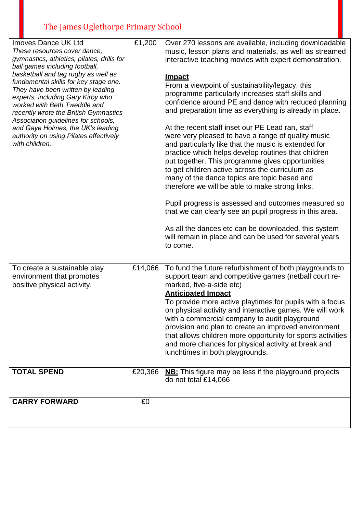# The James Oglethorpe Primary School

| <b>Imoves Dance UK Ltd</b><br>These resources cover dance,<br>gymnastics, athletics, pilates, drills for<br>ball games including football,<br>basketball and tag rugby as well as<br>fundamental skills for key stage one.<br>They have been written by leading<br>experts, including Gary Kirby who<br>worked with Beth Tweddle and<br>recently wrote the British Gymnastics<br>Association guidelines for schools,<br>and Gaye Holmes, the UK's leading<br>authority on using Pilates effectively<br>with children. | £1,200  | Over 270 lessons are available, including downloadable<br>music, lesson plans and materials, as well as streamed<br>interactive teaching movies with expert demonstration.<br><u>Impact</u><br>From a viewpoint of sustainability/legacy, this<br>programme particularly increases staff skills and<br>confidence around PE and dance with reduced planning<br>and preparation time as everything is already in place.<br>At the recent staff inset our PE Lead ran, staff<br>were very pleased to have a range of quality music<br>and particularly like that the music is extended for<br>practice which helps develop routines that children<br>put together. This programme gives opportunities<br>to get children active across the curriculum as<br>many of the dance topics are topic based and<br>therefore we will be able to make strong links.<br>Pupil progress is assessed and outcomes measured so<br>that we can clearly see an pupil progress in this area.<br>As all the dances etc can be downloaded, this system<br>will remain in place and can be used for several years<br>to come. |
|-----------------------------------------------------------------------------------------------------------------------------------------------------------------------------------------------------------------------------------------------------------------------------------------------------------------------------------------------------------------------------------------------------------------------------------------------------------------------------------------------------------------------|---------|-----------------------------------------------------------------------------------------------------------------------------------------------------------------------------------------------------------------------------------------------------------------------------------------------------------------------------------------------------------------------------------------------------------------------------------------------------------------------------------------------------------------------------------------------------------------------------------------------------------------------------------------------------------------------------------------------------------------------------------------------------------------------------------------------------------------------------------------------------------------------------------------------------------------------------------------------------------------------------------------------------------------------------------------------------------------------------------------------------------|
| To create a sustainable play<br>environment that promotes<br>positive physical activity.                                                                                                                                                                                                                                                                                                                                                                                                                              | £14,066 | To fund the future refurbishment of both playgrounds to<br>support team and competitive games (netball court re-<br>marked, five-a-side etc)<br><b>Anticipated Impact</b><br>To provide more active playtimes for pupils with a focus<br>on physical activity and interactive games. We will work<br>with a commercial company to audit playground<br>provision and plan to create an improved environment<br>that allows children more opportunity for sports activities<br>and more chances for physical activity at break and<br>lunchtimes in both playgrounds.                                                                                                                                                                                                                                                                                                                                                                                                                                                                                                                                       |
| <b>TOTAL SPEND</b>                                                                                                                                                                                                                                                                                                                                                                                                                                                                                                    | £20,366 | <b>NB:</b> This figure may be less if the playground projects<br>do not total £14,066                                                                                                                                                                                                                                                                                                                                                                                                                                                                                                                                                                                                                                                                                                                                                                                                                                                                                                                                                                                                                     |
| <b>CARRY FORWARD</b>                                                                                                                                                                                                                                                                                                                                                                                                                                                                                                  | £0      |                                                                                                                                                                                                                                                                                                                                                                                                                                                                                                                                                                                                                                                                                                                                                                                                                                                                                                                                                                                                                                                                                                           |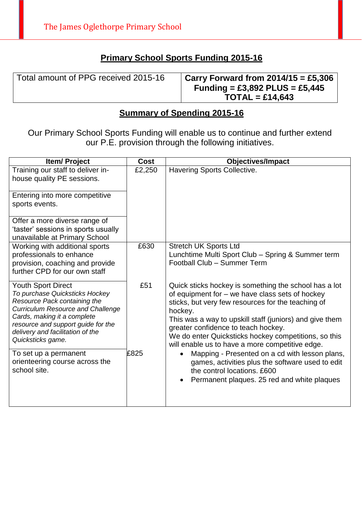### **Primary School Sports Funding 2015-16**

| Total amount of PPG received 2015-16 | Carry Forward from $2014/15 = \text{\textsterling}5,306$ |
|--------------------------------------|----------------------------------------------------------|
|                                      | Funding = £3,892 PLUS = £5,445                           |
|                                      | $TOTAL = £14,643$                                        |

### **Summary of Spending 2015-16**

Our Primary School Sports Funding will enable us to continue and further extend our P.E. provision through the following initiatives.

| <b>Item/Project</b>                                                                                                                                                                                                                                                   | <b>Cost</b> | <b>Objectives/Impact</b>                                                                                                                                                                                                                                                                                                                                                               |
|-----------------------------------------------------------------------------------------------------------------------------------------------------------------------------------------------------------------------------------------------------------------------|-------------|----------------------------------------------------------------------------------------------------------------------------------------------------------------------------------------------------------------------------------------------------------------------------------------------------------------------------------------------------------------------------------------|
| Training our staff to deliver in-<br>house quality PE sessions.                                                                                                                                                                                                       | £2,250      | Havering Sports Collective.                                                                                                                                                                                                                                                                                                                                                            |
| Entering into more competitive<br>sports events.                                                                                                                                                                                                                      |             |                                                                                                                                                                                                                                                                                                                                                                                        |
| Offer a more diverse range of<br>'taster' sessions in sports usually<br>unavailable at Primary School                                                                                                                                                                 |             |                                                                                                                                                                                                                                                                                                                                                                                        |
| Working with additional sports<br>professionals to enhance<br>provision, coaching and provide<br>further CPD for our own staff                                                                                                                                        | £630        | <b>Stretch UK Sports Ltd</b><br>Lunchtime Multi Sport Club - Spring & Summer term<br>Football Club - Summer Term                                                                                                                                                                                                                                                                       |
| <b>Youth Sport Direct</b><br>To purchase Quicksticks Hockey<br>Resource Pack containing the<br><b>Curriculum Resource and Challenge</b><br>Cards, making it a complete<br>resource and support guide for the<br>delivery and facilitation of the<br>Quicksticks game. | £51         | Quick sticks hockey is something the school has a lot<br>of equipment for – we have class sets of hockey<br>sticks, but very few resources for the teaching of<br>hockey.<br>This was a way to upskill staff (juniors) and give them<br>greater confidence to teach hockey.<br>We do enter Quicksticks hockey competitions, so this<br>will enable us to have a more competitive edge. |
| To set up a permanent<br>orienteering course across the<br>school site.                                                                                                                                                                                               | £825        | Mapping - Presented on a cd with lesson plans,<br>games, activities plus the software used to edit<br>the control locations. £600<br>Permanent plaques. 25 red and white plaques                                                                                                                                                                                                       |